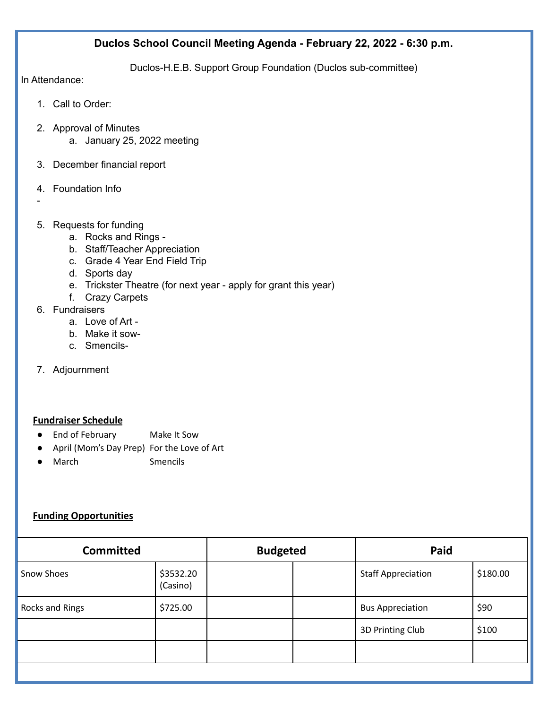## **Duclos School Council Meeting Agenda - February 22, 2022 - 6:30 p.m.**

Duclos-H.E.B. Support Group Foundation (Duclos sub-committee)

In Attendance:

- 1. Call to Order:
- 2. Approval of Minutes a. January 25, 2022 meeting
- 3. December financial report
- 4. Foundation Info
- -
- 5. Requests for funding
	- a. Rocks and Rings -
	- b. Staff/Teacher Appreciation
	- c. Grade 4 Year End Field Trip
	- d. Sports day
	- e. Trickster Theatre (for next year apply for grant this year)
	- f. Crazy Carpets
- 6. Fundraisers
	- a. Love of Art -
	- b. Make it sow-
	- c. Smencils-
- 7. Adjournment

### **Fundraiser Schedule**

- End of February Make It Sow
- April (Mom's Day Prep) For the Love of Art
- March Smencils

### **Funding Opportunities**

| <b>Committed</b> |                       | <b>Budgeted</b> |  | Paid                      |          |
|------------------|-----------------------|-----------------|--|---------------------------|----------|
| Snow Shoes       | \$3532.20<br>(Casino) |                 |  | <b>Staff Appreciation</b> | \$180.00 |
| Rocks and Rings  | \$725.00              |                 |  | <b>Bus Appreciation</b>   | \$90     |
|                  |                       |                 |  | 3D Printing Club          | \$100    |
|                  |                       |                 |  |                           |          |
|                  |                       |                 |  |                           |          |